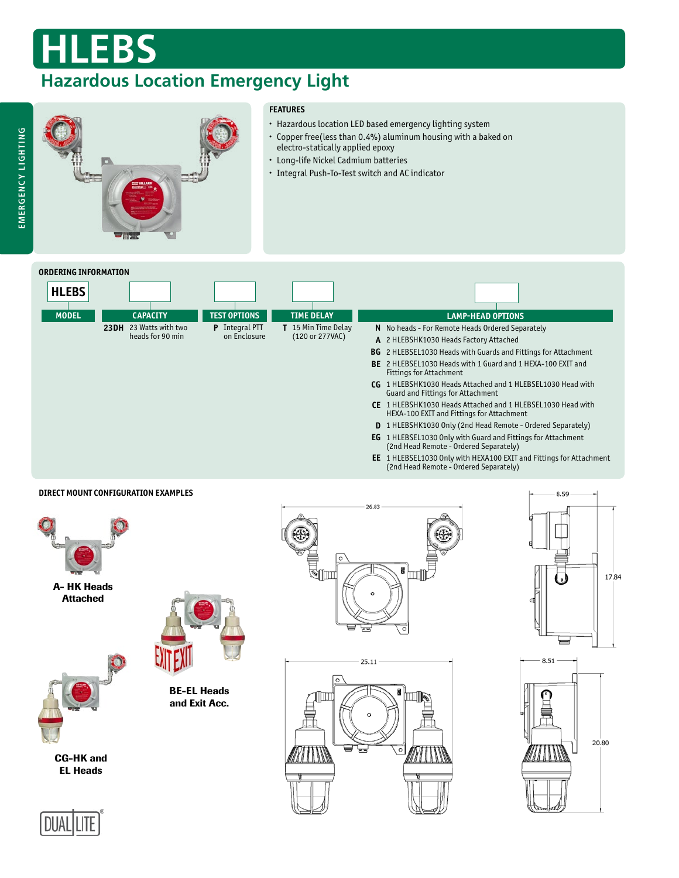# **HLEBS**

### **Hazardous Location Emergency Light**

### **FEATURES**

- Hazardous location LED based emergency lighting system
- Copper free(less than 0.4%) aluminum housing with a baked on electro-statically applied epoxy
- Long-life Nickel Cadmium batteries
- Integral Push-To-Test switch and AC indicator



### **DIRECT MOUNT CONFIGURATION EXAMPLES**